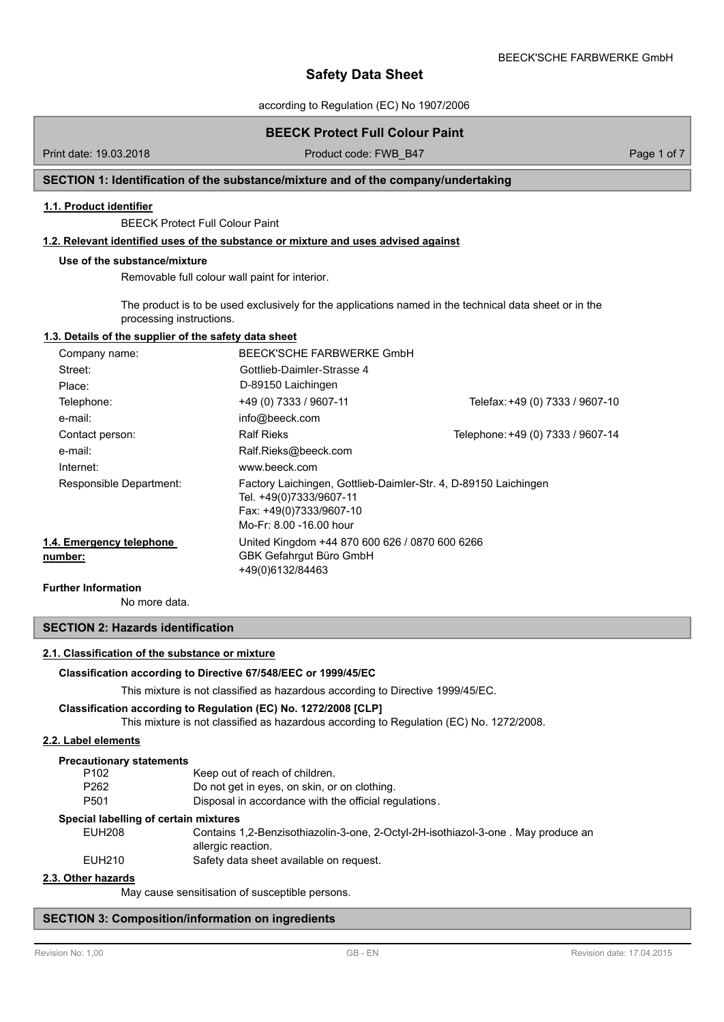according to Regulation (EC) No 1907/2006

## **BEECK Protect Full Colour Paint**

Print date: 19.03.2018 **Product code: FWB\_B47** Product code: FWB\_B47 Page 1 of 7

### **SECTION 1: Identification of the substance/mixture and of the company/undertaking**

#### **1.1. Product identifier**

BEECK Protect Full Colour Paint

### **1.2. Relevant identified uses of the substance or mixture and uses advised against**

#### **Use of the substance/mixture**

Removable full colour wall paint for interior.

The product is to be used exclusively for the applications named in the technical data sheet or in the processing instructions.

### **1.3. Details of the supplier of the safety data sheet**

| Company name:                       | BEECK'SCHE FARBWERKE GmbH                                                                                                                        |                                   |
|-------------------------------------|--------------------------------------------------------------------------------------------------------------------------------------------------|-----------------------------------|
| Street:                             | Gottlieb-Daimler-Strasse 4                                                                                                                       |                                   |
| Place:                              | D-89150 Laichingen                                                                                                                               |                                   |
| Telephone:                          | +49 (0) 7333 / 9607-11                                                                                                                           | Telefax: +49 (0) 7333 / 9607-10   |
| e-mail:                             | info@beeck.com                                                                                                                                   |                                   |
| Contact person:                     | <b>Ralf Rieks</b>                                                                                                                                | Telephone: +49 (0) 7333 / 9607-14 |
| e-mail:                             | Ralf.Rieks@beeck.com                                                                                                                             |                                   |
| Internet:                           | www.beeck.com                                                                                                                                    |                                   |
| Responsible Department:             | Factory Laichingen, Gottlieb-Daimler-Str. 4, D-89150 Laichingen<br>Tel. +49(0)7333/9607-11<br>Fax: +49(0)7333/9607-10<br>Mo-Fr: 8.00 -16.00 hour |                                   |
| 1.4. Emergency telephone<br>number: | United Kingdom +44 870 600 626 / 0870 600 6266<br>GBK Gefahrgut Büro GmbH<br>+49(0)6132/84463                                                    |                                   |

### **Further Information**

No more data.

### **SECTION 2: Hazards identification**

### **2.1. Classification of the substance or mixture**

#### **Classification according to Directive 67/548/EEC or 1999/45/EC**

This mixture is not classified as hazardous according to Directive 1999/45/EC.

#### **Classification according to Regulation (EC) No. 1272/2008 [CLP]**

This mixture is not classified as hazardous according to Regulation (EC) No. 1272/2008.

### **2.2. Label elements**

### **Precautionary statements**

| P <sub>102</sub> | Keep out of reach of children.                                                                         |
|------------------|--------------------------------------------------------------------------------------------------------|
| P262             | Do not get in eyes, on skin, or on clothing.                                                           |
| P501             | Disposal in accordance with the official regulations.                                                  |
|                  | cial labelling of certain mixtures                                                                     |
| <b>EUH208</b>    | Contains 1,2-Benzisothiazolin-3-one, 2-Octyl-2H-isothiazol-3-one, May produce an<br>allergic reaction. |

EUH210 Safety data sheet available on request.

#### **2.3. Other hazards**

May cause sensitisation of susceptible persons.

#### **SECTION 3: Composition/information on ingredients**

Spec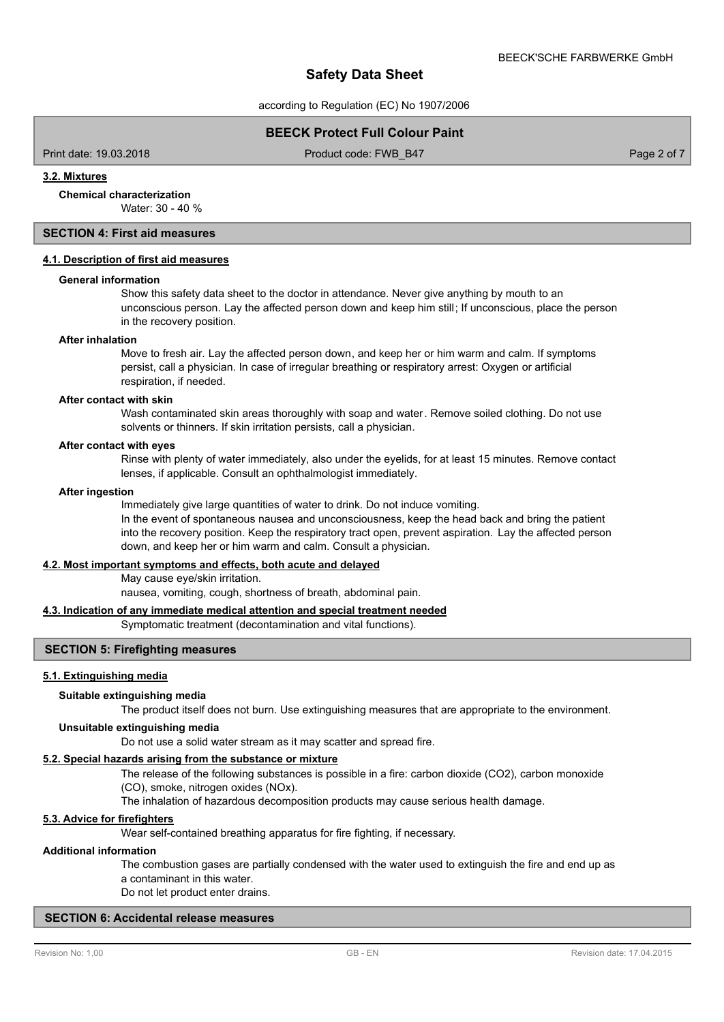according to Regulation (EC) No 1907/2006

### **BEECK Protect Full Colour Paint**

Print date: 19.03.2018 Product code: FWB\_B47 Page 2 of 7

#### **3.2. Mixtures**

**Chemical characterization**

Water: 30 - 40 %

## **SECTION 4: First aid measures**

### **4.1. Description of first aid measures**

#### **General information**

Show this safety data sheet to the doctor in attendance. Never give anything by mouth to an unconscious person. Lay the affected person down and keep him still; If unconscious, place the person in the recovery position.

#### **After inhalation**

Move to fresh air. Lay the affected person down, and keep her or him warm and calm. If symptoms persist, call a physician. In case of irregular breathing or respiratory arrest: Oxygen or artificial respiration, if needed.

### **After contact with skin**

Wash contaminated skin areas thoroughly with soap and water. Remove soiled clothing. Do not use solvents or thinners. If skin irritation persists, call a physician.

#### **After contact with eyes**

Rinse with plenty of water immediately, also under the eyelids, for at least 15 minutes. Remove contact lenses, if applicable. Consult an ophthalmologist immediately.

#### **After ingestion**

Immediately give large quantities of water to drink. Do not induce vomiting.

In the event of spontaneous nausea and unconsciousness, keep the head back and bring the patient into the recovery position. Keep the respiratory tract open, prevent aspiration. Lay the affected person down, and keep her or him warm and calm. Consult a physician.

#### **4.2. Most important symptoms and effects, both acute and delayed**

May cause eye/skin irritation.

nausea, vomiting, cough, shortness of breath, abdominal pain.

### **4.3. Indication of any immediate medical attention and special treatment needed**

Symptomatic treatment (decontamination and vital functions).

### **SECTION 5: Firefighting measures**

### **5.1. Extinguishing media**

#### **Suitable extinguishing media**

The product itself does not burn. Use extinguishing measures that are appropriate to the environment.

### **Unsuitable extinguishing media**

Do not use a solid water stream as it may scatter and spread fire.

### **5.2. Special hazards arising from the substance or mixture**

The release of the following substances is possible in a fire: carbon dioxide (CO2), carbon monoxide

(CO), smoke, nitrogen oxides (NOx).

The inhalation of hazardous decomposition products may cause serious health damage.

#### **5.3. Advice for firefighters**

Wear self-contained breathing apparatus for fire fighting, if necessary.

#### **Additional information**

The combustion gases are partially condensed with the water used to extinguish the fire and end up as a contaminant in this water.

Do not let product enter drains.

### **SECTION 6: Accidental release measures**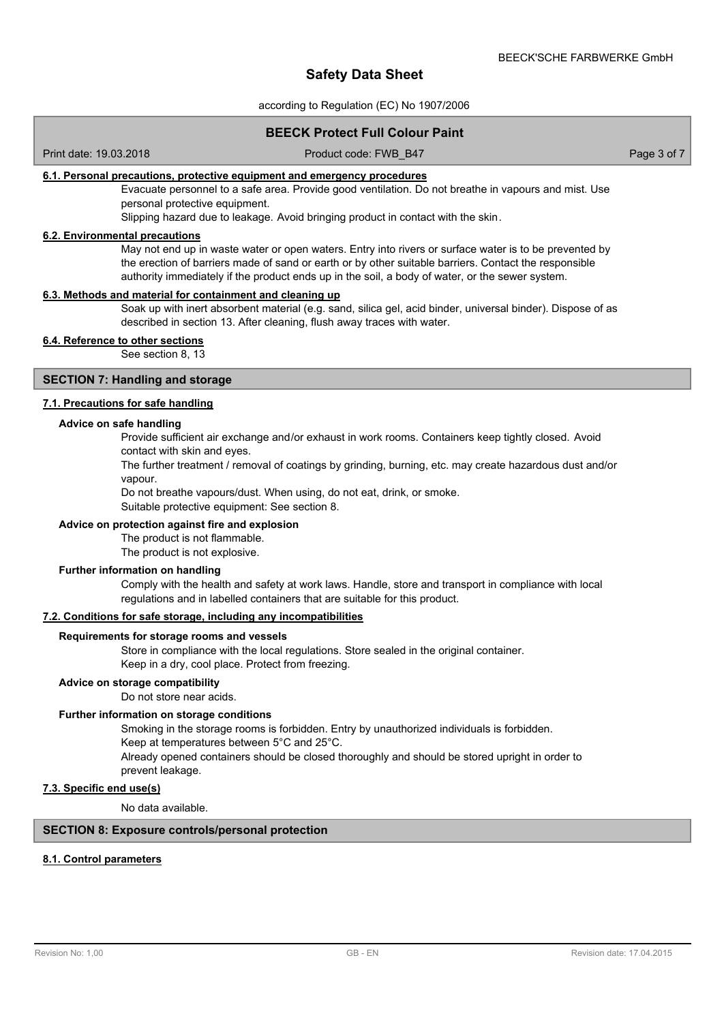according to Regulation (EC) No 1907/2006

### **BEECK Protect Full Colour Paint**

Print date: 19.03.2018 Product code: FWB\_B47 Page 3 of 7

### **6.1. Personal precautions, protective equipment and emergency procedures**

Evacuate personnel to a safe area. Provide good ventilation. Do not breathe in vapours and mist. Use personal protective equipment.

Slipping hazard due to leakage. Avoid bringing product in contact with the skin.

#### **6.2. Environmental precautions**

May not end up in waste water or open waters. Entry into rivers or surface water is to be prevented by the erection of barriers made of sand or earth or by other suitable barriers. Contact the responsible authority immediately if the product ends up in the soil, a body of water, or the sewer system.

### **6.3. Methods and material for containment and cleaning up**

Soak up with inert absorbent material (e.g. sand, silica gel, acid binder, universal binder). Dispose of as described in section 13. After cleaning, flush away traces with water.

### **6.4. Reference to other sections**

See section 8, 13

### **SECTION 7: Handling and storage**

### **7.1. Precautions for safe handling**

#### **Advice on safe handling**

Provide sufficient air exchange and/or exhaust in work rooms. Containers keep tightly closed. Avoid contact with skin and eyes.

The further treatment / removal of coatings by grinding, burning, etc. may create hazardous dust and/or vapour.

Do not breathe vapours/dust. When using, do not eat, drink, or smoke.

Suitable protective equipment: See section 8.

#### **Advice on protection against fire and explosion**

The product is not flammable.

The product is not explosive.

### **Further information on handling**

Comply with the health and safety at work laws. Handle, store and transport in compliance with local regulations and in labelled containers that are suitable for this product.

#### **7.2. Conditions for safe storage, including any incompatibilities**

### **Requirements for storage rooms and vessels**

Store in compliance with the local regulations. Store sealed in the original container. Keep in a dry, cool place. Protect from freezing.

#### **Advice on storage compatibility**

Do not store near acids.

#### **Further information on storage conditions**

Smoking in the storage rooms is forbidden. Entry by unauthorized individuals is forbidden. Keep at temperatures between 5°C and 25°C.

Already opened containers should be closed thoroughly and should be stored upright in order to prevent leakage.

### **7.3. Specific end use(s)**

No data available.

### **SECTION 8: Exposure controls/personal protection**

### **8.1. Control parameters**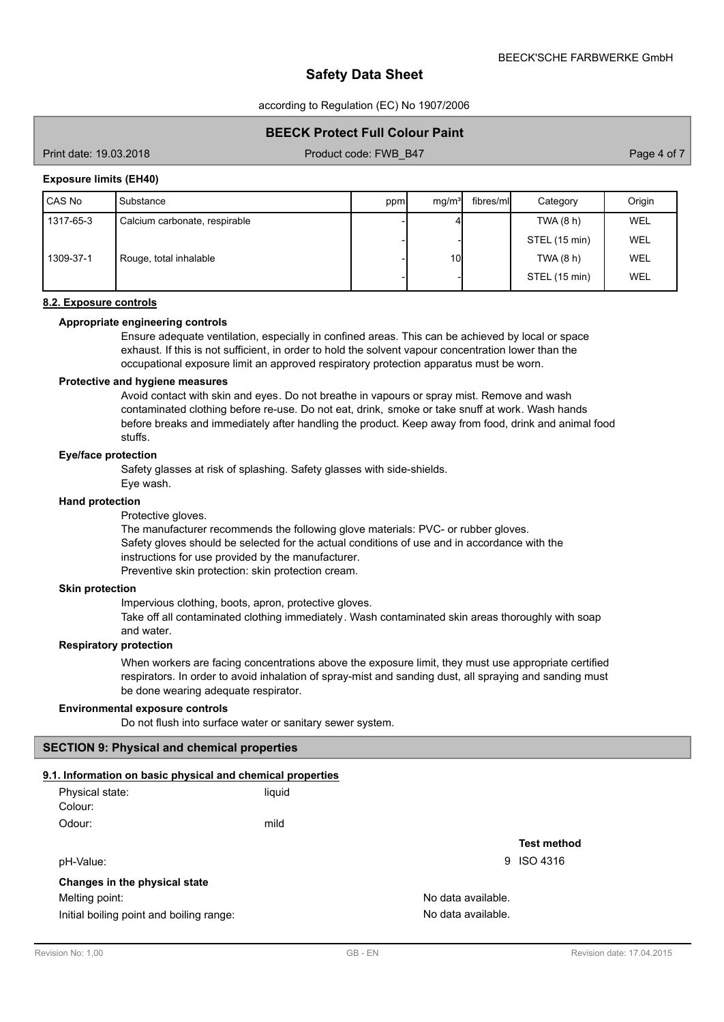according to Regulation (EC) No 1907/2006

### **BEECK Protect Full Colour Paint**

Print date: 19.03.2018 Product code: FWB\_B47 Product code: FWB\_B47 Page 4 of 7

#### **Exposure limits (EH40)**

| l CAS No  | Substance                     | ppm | mg/m <sup>3</sup> | fibres/mll | Category      | Origin |
|-----------|-------------------------------|-----|-------------------|------------|---------------|--------|
| 1317-65-3 | Calcium carbonate, respirable |     |                   |            | TWA(8 h)      | WEL    |
|           |                               |     |                   |            | STEL (15 min) | WEL    |
| 1309-37-1 | Rouge, total inhalable        |     | 10                |            | TWA(8 h)      | WEL    |
|           |                               |     |                   |            | STEL (15 min) | WEL    |

### **8.2. Exposure controls**

### **Appropriate engineering controls**

Ensure adequate ventilation, especially in confined areas. This can be achieved by local or space exhaust. If this is not sufficient, in order to hold the solvent vapour concentration lower than the occupational exposure limit an approved respiratory protection apparatus must be worn.

#### **Protective and hygiene measures**

Avoid contact with skin and eyes. Do not breathe in vapours or spray mist. Remove and wash contaminated clothing before re-use. Do not eat, drink, smoke or take snuff at work. Wash hands before breaks and immediately after handling the product. Keep away from food, drink and animal food stuffs.

### **Eye/face protection**

Safety glasses at risk of splashing. Safety glasses with side-shields.

Eye wash.

#### **Hand protection**

Protective gloves.

The manufacturer recommends the following glove materials: PVC- or rubber gloves. Safety gloves should be selected for the actual conditions of use and in accordance with the instructions for use provided by the manufacturer. Preventive skin protection: skin protection cream.

#### **Skin protection**

Impervious clothing, boots, apron, protective gloves.

Take off all contaminated clothing immediately. Wash contaminated skin areas thoroughly with soap and water.

### **Respiratory protection**

When workers are facing concentrations above the exposure limit, they must use appropriate certified respirators. In order to avoid inhalation of spray-mist and sanding dust, all spraying and sanding must be done wearing adequate respirator.

#### **Environmental exposure controls**

Do not flush into surface water or sanitary sewer system.

### **SECTION 9: Physical and chemical properties**

### **9.1. Information on basic physical and chemical properties**

| Physical state:               | liquid |                    |
|-------------------------------|--------|--------------------|
| Colour:                       |        |                    |
| Odour:                        | mild   |                    |
|                               |        | <b>Test meth</b>   |
| pH-Value:                     |        | 9 ISO 4316         |
| Changes in the physical state |        |                    |
| Melting point:                |        | No data available. |

Initial boiling point and boiling range: No data available.

**Test method**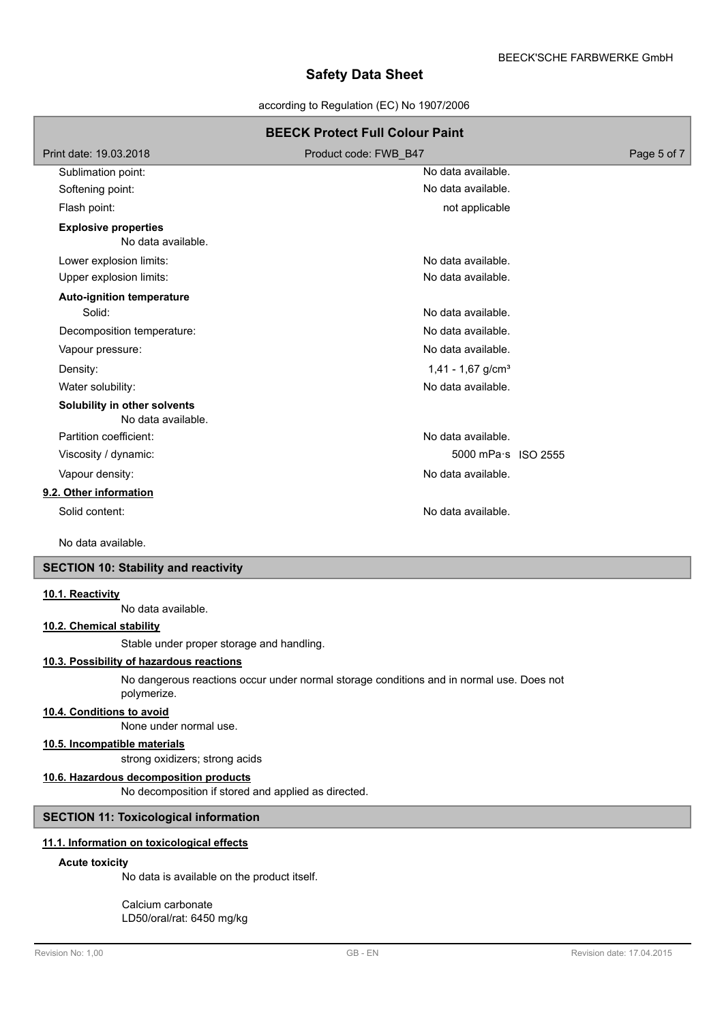according to Regulation (EC) No 1907/2006

| <b>BEECK Protect Full Colour Paint</b>             |                                 |             |  |  |
|----------------------------------------------------|---------------------------------|-------------|--|--|
| Print date: 19.03.2018                             | Product code: FWB B47           | Page 5 of 7 |  |  |
| Sublimation point:                                 | No data available.              |             |  |  |
| Softening point:                                   | No data available.              |             |  |  |
| Flash point:                                       | not applicable                  |             |  |  |
| <b>Explosive properties</b><br>No data available.  |                                 |             |  |  |
| Lower explosion limits:                            | No data available.              |             |  |  |
| Upper explosion limits:                            | No data available.              |             |  |  |
| <b>Auto-ignition temperature</b>                   |                                 |             |  |  |
| Solid:                                             | No data available.              |             |  |  |
| Decomposition temperature:                         | No data available.              |             |  |  |
| Vapour pressure:                                   | No data available.              |             |  |  |
| Density:                                           | $1,41 - 1,67$ g/cm <sup>3</sup> |             |  |  |
| Water solubility:                                  | No data available.              |             |  |  |
| Solubility in other solvents<br>No data available. |                                 |             |  |  |
| Partition coefficient:                             | No data available.              |             |  |  |
| Viscosity / dynamic:                               | 5000 mPa·s ISO 2555             |             |  |  |
| Vapour density:                                    | No data available.              |             |  |  |
| 9.2. Other information                             |                                 |             |  |  |
| Solid content:                                     | No data available.              |             |  |  |

No data available.

### **SECTION 10: Stability and reactivity**

#### **10.1. Reactivity**

No data available.

### **10.2. Chemical stability**

Stable under proper storage and handling.

### **10.3. Possibility of hazardous reactions**

No dangerous reactions occur under normal storage conditions and in normal use. Does not polymerize.

#### **10.4. Conditions to avoid**

None under normal use.

### **10.5. Incompatible materials**

strong oxidizers; strong acids

### **10.6. Hazardous decomposition products**

No decomposition if stored and applied as directed.

### **SECTION 11: Toxicological information**

### **11.1. Information on toxicological effects**

### **Acute toxicity**

No data is available on the product itself.

Calcium carbonate LD50/oral/rat: 6450 mg/kg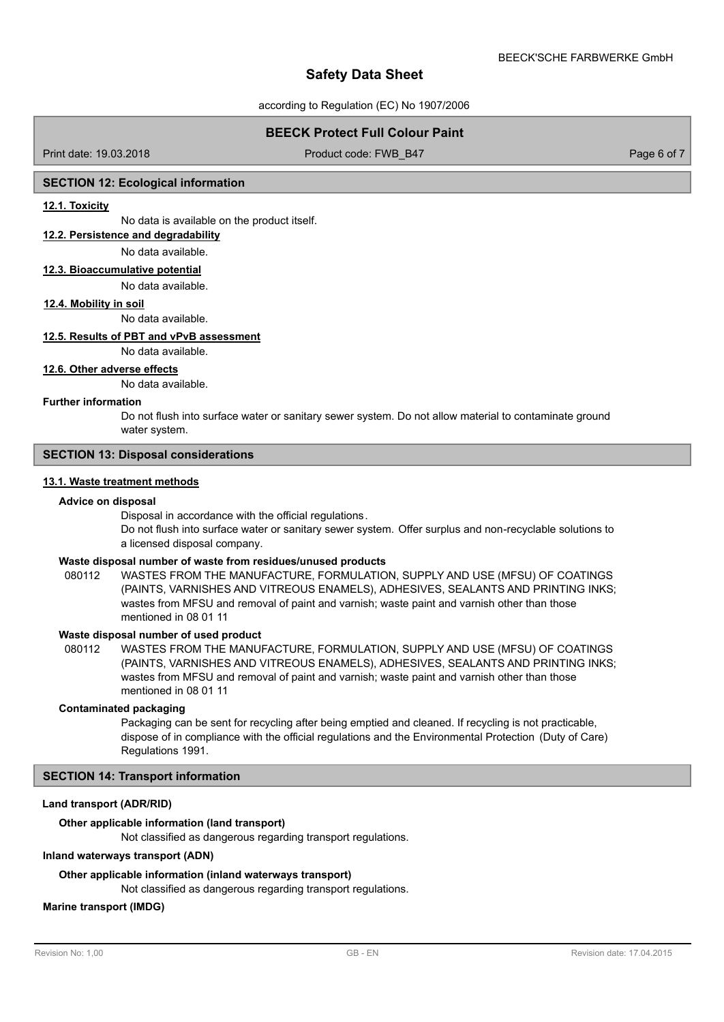according to Regulation (EC) No 1907/2006

### **BEECK Protect Full Colour Paint**

Print date: 19.03.2018 Product code: FWB\_B47 Product code: FWB\_B47 Page 6 of 7

### **SECTION 12: Ecological information**

#### **12.1. Toxicity**

No data is available on the product itself.

### **12.2. Persistence and degradability**

#### No data available.

**12.3. Bioaccumulative potential**

No data available.

#### **12.4. Mobility in soil**

No data available.

### **12.5. Results of PBT and vPvB assessment**

No data available.

#### **12.6. Other adverse effects**

No data available.

#### **Further information**

Do not flush into surface water or sanitary sewer system. Do not allow material to contaminate ground water system.

### **SECTION 13: Disposal considerations**

### **13.1. Waste treatment methods**

#### **Advice on disposal**

Disposal in accordance with the official regulations.

Do not flush into surface water or sanitary sewer system. Offer surplus and non-recyclable solutions to a licensed disposal company.

#### **Waste disposal number of waste from residues/unused products**

080112 WASTES FROM THE MANUFACTURE, FORMULATION, SUPPLY AND USE (MFSU) OF COATINGS (PAINTS, VARNISHES AND VITREOUS ENAMELS), ADHESIVES, SEALANTS AND PRINTING INKS; wastes from MFSU and removal of paint and varnish; waste paint and varnish other than those mentioned in 08 01 11

### **Waste disposal number of used product**

WASTES FROM THE MANUFACTURE, FORMULATION, SUPPLY AND USE (MFSU) OF COATINGS (PAINTS, VARNISHES AND VITREOUS ENAMELS), ADHESIVES, SEALANTS AND PRINTING INKS; wastes from MFSU and removal of paint and varnish; waste paint and varnish other than those mentioned in 08 01 11 080112

#### **Contaminated packaging**

Packaging can be sent for recycling after being emptied and cleaned. If recycling is not practicable, dispose of in compliance with the official regulations and the Environmental Protection (Duty of Care) Regulations 1991.

### **SECTION 14: Transport information**

#### **Land transport (ADR/RID)**

#### **Other applicable information (land transport)**

Not classified as dangerous regarding transport regulations.

### **Inland waterways transport (ADN)**

#### **Other applicable information (inland waterways transport)**

Not classified as dangerous regarding transport regulations.

### **Marine transport (IMDG)**